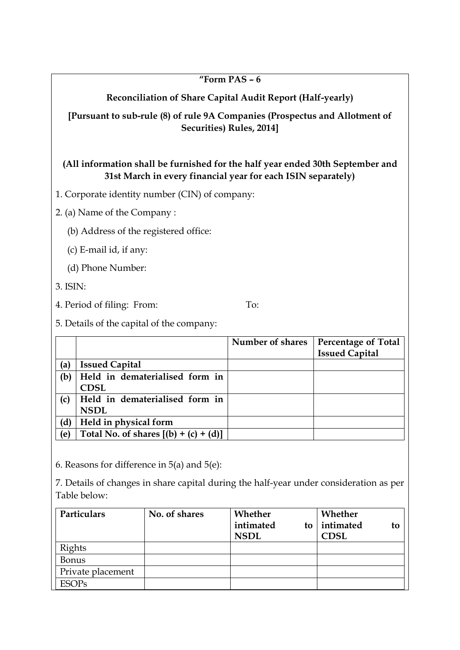#### **"Form PAS – 6**

**Reconciliation of Share Capital Audit Report (Half-yearly)**

**[Pursuant to sub-rule (8) of rule 9A Companies (Prospectus and Allotment of Securities) Rules, 2014]**

## **(All information shall be furnished for the half year ended 30th September and 31st March in every financial year for each ISIN separately)**

1. Corporate identity number (CIN) of company:

2. (a) Name of the Company :

(b) Address of the registered office:

(c) E-mail id, if any:

(d) Phone Number:

3. ISIN:

4. Period of filing: From: To:

5. Details of the capital of the company:

|     |                                               | Number of shares | <b>Percentage of Total</b><br><b>Issued Capital</b> |
|-----|-----------------------------------------------|------------------|-----------------------------------------------------|
| (a) | <b>Issued Capital</b>                         |                  |                                                     |
| (b) | Held in dematerialised form in<br><b>CDSL</b> |                  |                                                     |
| (c) | Held in dematerialised form in<br><b>NSDL</b> |                  |                                                     |
| (d) | Held in physical form                         |                  |                                                     |
| (e) | Total No. of shares $[(b) + (c) + (d)]$       |                  |                                                     |

6. Reasons for difference in 5(a) and 5(e):

7. Details of changes in share capital during the half-year under consideration as per Table below:

| Particulars       | No. of shares | Whether<br>intimated<br>to<br><b>NSDL</b> | Whether<br>intimated<br>to<br><b>CDSL</b> |
|-------------------|---------------|-------------------------------------------|-------------------------------------------|
| <b>Rights</b>     |               |                                           |                                           |
| <b>Bonus</b>      |               |                                           |                                           |
| Private placement |               |                                           |                                           |
| <b>ESOPs</b>      |               |                                           |                                           |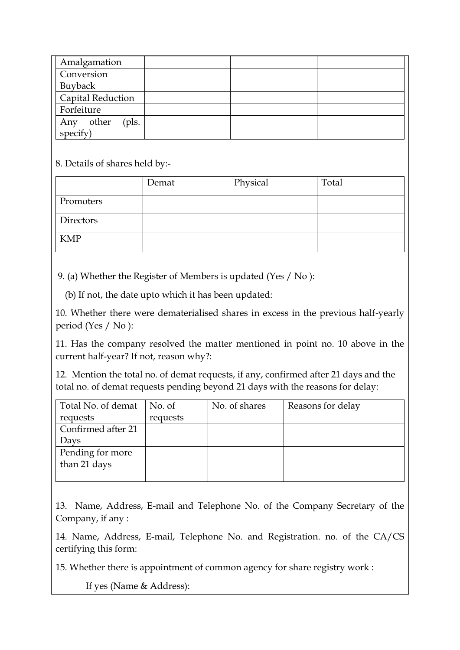| Amalgamation          |  |  |
|-----------------------|--|--|
| Conversion            |  |  |
| Buyback               |  |  |
| Capital Reduction     |  |  |
| Forfeiture            |  |  |
| other<br>(pls.<br>Any |  |  |
| specify)              |  |  |

8. Details of shares held by:-

|            | Demat | Physical | Total |
|------------|-------|----------|-------|
| Promoters  |       |          |       |
| Directors  |       |          |       |
| <b>KMP</b> |       |          |       |

9. (a) Whether the Register of Members is updated (Yes / No ):

(b) If not, the date upto which it has been updated:

10. Whether there were dematerialised shares in excess in the previous half-yearly period (Yes / No ):

11. Has the company resolved the matter mentioned in point no. 10 above in the current half-year? If not, reason why?:

12. Mention the total no. of demat requests, if any, confirmed after 21 days and the total no. of demat requests pending beyond 21 days with the reasons for delay:

| Total No. of demat | No. of   | No. of shares | Reasons for delay |
|--------------------|----------|---------------|-------------------|
| requests           | requests |               |                   |
| Confirmed after 21 |          |               |                   |
| Days               |          |               |                   |
| Pending for more   |          |               |                   |
| than 21 days       |          |               |                   |
|                    |          |               |                   |

13. Name, Address, E-mail and Telephone No. of the Company Secretary of the Company, if any :

14. Name, Address, E-mail, Telephone No. and Registration. no. of the CA/CS certifying this form:

15. Whether there is appointment of common agency for share registry work :

If yes (Name & Address):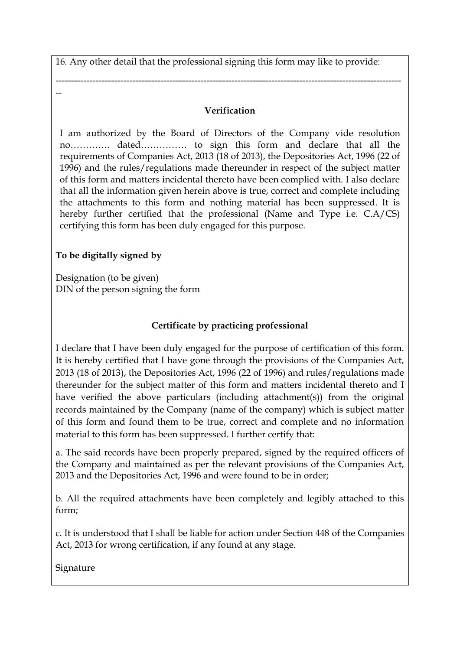16. Any other detail that the professional signing this form may like to provide:

--

## **Verification**

----------------------------------------------------------------------------------------------------------------

I am authorized by the Board of Directors of the Company vide resolution no…………. dated…………… to sign this form and declare that all the requirements of Companies Act, 2013 (18 of 2013), the Depositories Act, 1996 (22 of 1996) and the rules/regulations made thereunder in respect of the subject matter of this form and matters incidental thereto have been complied with. I also declare that all the information given herein above is true, correct and complete including the attachments to this form and nothing material has been suppressed. It is hereby further certified that the professional (Name and Type i.e. C.A/CS) certifying this form has been duly engaged for this purpose.

# **To be digitally signed by**

Designation (to be given) DIN of the person signing the form

## **Certificate by practicing professional**

I declare that I have been duly engaged for the purpose of certification of this form. It is hereby certified that I have gone through the provisions of the Companies Act, 2013 (18 of 2013), the Depositories Act, 1996 (22 of 1996) and rules/regulations made thereunder for the subject matter of this form and matters incidental thereto and I have verified the above particulars (including attachment(s)) from the original records maintained by the Company (name of the company) which is subject matter of this form and found them to be true, correct and complete and no information material to this form has been suppressed. I further certify that:

a. The said records have been properly prepared, signed by the required officers of the Company and maintained as per the relevant provisions of the Companies Act, 2013 and the Depositories Act, 1996 and were found to be in order;

b. All the required attachments have been completely and legibly attached to this form;

c. It is understood that I shall be liable for action under Section 448 of the Companies Act, 2013 for wrong certification, if any found at any stage.

Signature